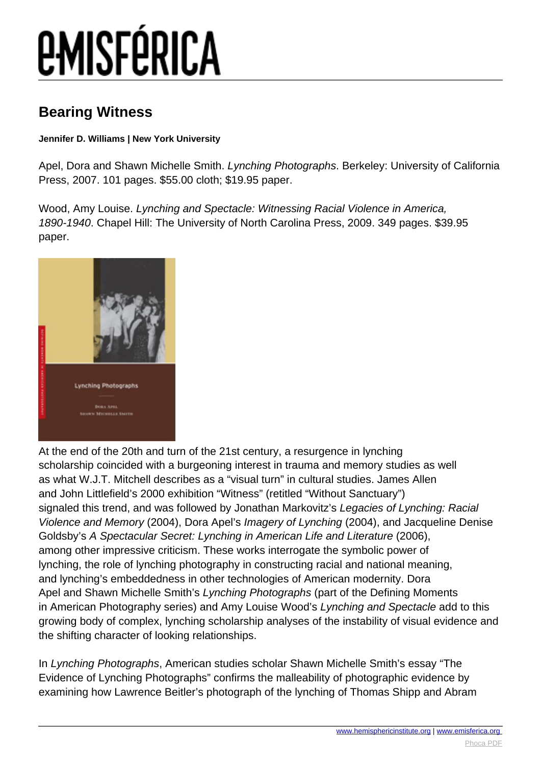# *EMISFÉRICA*

### **Bearing Witness**

### **Jennifer D. Williams | New York University**

Apel, Dora and Shawn Michelle Smith. Lynching Photographs. Berkeley: University of California Press, 2007. 101 pages. \$55.00 cloth; \$19.95 paper.

Wood, Amy Louise. Lynching and Spectacle: Witnessing Racial Violence in America, 1890-1940. Chapel Hill: The University of North Carolina Press, 2009. 349 pages. \$39.95 paper.



At the end of the 20th and turn of the 21st century, a resurgence in lynching scholarship coincided with a burgeoning interest in trauma and memory studies as well as what W.J.T. Mitchell describes as a "visual turn" in cultural studies. James Allen and John Littlefield's 2000 exhibition "Witness" (retitled "Without Sanctuary") signaled this trend, and was followed by Jonathan Markovitz's Legacies of Lynching: Racial Violence and Memory (2004), Dora Apel's Imagery of Lynching (2004), and Jacqueline Denise Goldsby's A Spectacular Secret: Lynching in American Life and Literature (2006), among other impressive criticism. These works interrogate the symbolic power of lynching, the role of lynching photography in constructing racial and national meaning, and lynching's embeddedness in other technologies of American modernity. Dora Apel and Shawn Michelle Smith's Lynching Photographs (part of the Defining Moments in American Photography series) and Amy Louise Wood's Lynching and Spectacle add to this growing body of complex, lynching scholarship analyses of the instability of visual evidence and the shifting character of looking relationships.

In Lynching Photographs, American studies scholar Shawn Michelle Smith's essay "The Evidence of Lynching Photographs" confirms the malleability of photographic evidence by examining how Lawrence Beitler's photograph of the lynching of Thomas Shipp and Abram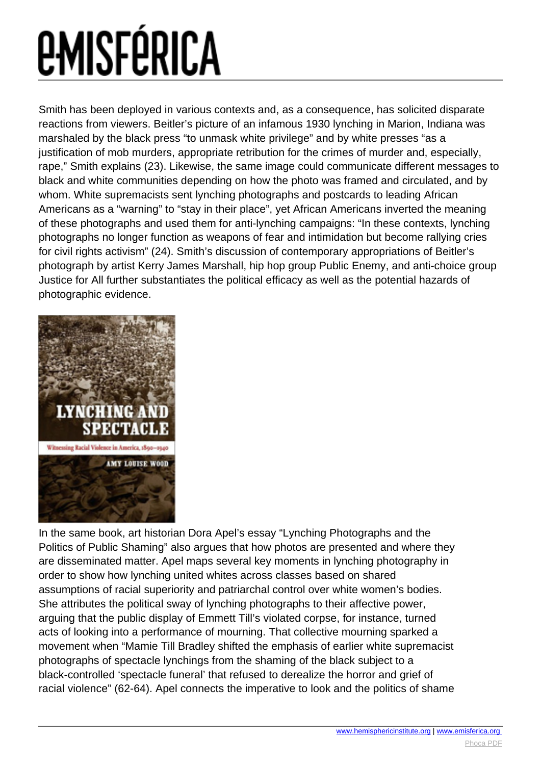# **EMISFÉRICA**

Smith has been deployed in various contexts and, as a consequence, has solicited disparate reactions from viewers. Beitler's picture of an infamous 1930 lynching in Marion, Indiana was marshaled by the black press "to unmask white privilege" and by white presses "as a justification of mob murders, appropriate retribution for the crimes of murder and, especially, rape," Smith explains (23). Likewise, the same image could communicate different messages to black and white communities depending on how the photo was framed and circulated, and by whom. White supremacists sent lynching photographs and postcards to leading African Americans as a "warning" to "stay in their place", yet African Americans inverted the meaning of these photographs and used them for anti-lynching campaigns: "In these contexts, lynching photographs no longer function as weapons of fear and intimidation but become rallying cries for civil rights activism" (24). Smith's discussion of contemporary appropriations of Beitler's photograph by artist Kerry James Marshall, hip hop group Public Enemy, and anti-choice group Justice for All further substantiates the political efficacy as well as the potential hazards of photographic evidence.



In the same book, art historian Dora Apel's essay "Lynching Photographs and the Politics of Public Shaming" also argues that how photos are presented and where they are disseminated matter. Apel maps several key moments in lynching photography in order to show how lynching united whites across classes based on shared assumptions of racial superiority and patriarchal control over white women's bodies. She attributes the political sway of lynching photographs to their affective power, arguing that the public display of Emmett Till's violated corpse, for instance, turned acts of looking into a performance of mourning. That collective mourning sparked a movement when "Mamie Till Bradley shifted the emphasis of earlier white supremacist photographs of spectacle lynchings from the shaming of the black subject to a black-controlled 'spectacle funeral' that refused to derealize the horror and grief of racial violence" (62-64). Apel connects the imperative to look and the politics of shame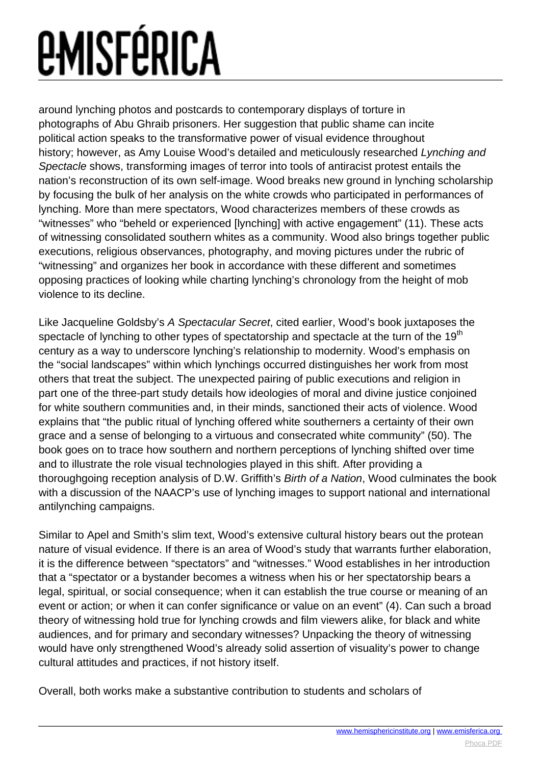# *<u>EMISFÉRICA</u>*

around lynching photos and postcards to contemporary displays of torture in photographs of Abu Ghraib prisoners. Her suggestion that public shame can incite political action speaks to the transformative power of visual evidence throughout history; however, as Amy Louise Wood's detailed and meticulously researched Lynching and Spectacle shows, transforming images of terror into tools of antiracist protest entails the nation's reconstruction of its own self-image. Wood breaks new ground in lynching scholarship by focusing the bulk of her analysis on the white crowds who participated in performances of lynching. More than mere spectators, Wood characterizes members of these crowds as "witnesses" who "beheld or experienced [lynching] with active engagement" (11). These acts of witnessing consolidated southern whites as a community. Wood also brings together public executions, religious observances, photography, and moving pictures under the rubric of "witnessing" and organizes her book in accordance with these different and sometimes opposing practices of looking while charting lynching's chronology from the height of mob violence to its decline.

Like Jacqueline Goldsby's A Spectacular Secret, cited earlier, Wood's book juxtaposes the spectacle of lynching to other types of spectatorship and spectacle at the turn of the 19<sup>th</sup> century as a way to underscore lynching's relationship to modernity. Wood's emphasis on the "social landscapes" within which lynchings occurred distinguishes her work from most others that treat the subject. The unexpected pairing of public executions and religion in part one of the three-part study details how ideologies of moral and divine justice conjoined for white southern communities and, in their minds, sanctioned their acts of violence. Wood explains that "the public ritual of lynching offered white southerners a certainty of their own grace and a sense of belonging to a virtuous and consecrated white community" (50). The book goes on to trace how southern and northern perceptions of lynching shifted over time and to illustrate the role visual technologies played in this shift. After providing a thoroughgoing reception analysis of D.W. Griffith's Birth of a Nation, Wood culminates the book with a discussion of the NAACP's use of lynching images to support national and international antilynching campaigns.

Similar to Apel and Smith's slim text, Wood's extensive cultural history bears out the protean nature of visual evidence. If there is an area of Wood's study that warrants further elaboration, it is the difference between "spectators" and "witnesses." Wood establishes in her introduction that a "spectator or a bystander becomes a witness when his or her spectatorship bears a legal, spiritual, or social consequence; when it can establish the true course or meaning of an event or action; or when it can confer significance or value on an event" (4). Can such a broad theory of witnessing hold true for lynching crowds and film viewers alike, for black and white audiences, and for primary and secondary witnesses? Unpacking the theory of witnessing would have only strengthened Wood's already solid assertion of visuality's power to change cultural attitudes and practices, if not history itself.

Overall, both works make a substantive contribution to students and scholars of